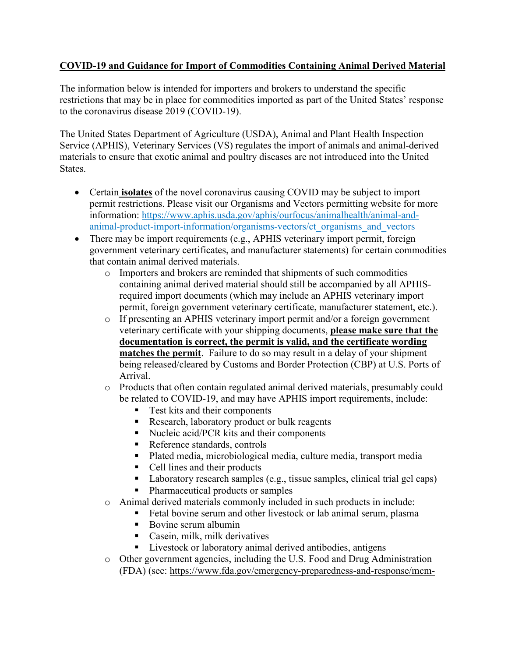## **COVID-19 and Guidance for Import of Commodities Containing Animal Derived Material**

The information below is intended for importers and brokers to understand the specific restrictions that may be in place for commodities imported as part of the United States' response to the coronavirus disease 2019 (COVID-19).

The United States Department of Agriculture (USDA), Animal and Plant Health Inspection Service (APHIS), Veterinary Services (VS) regulates the import of animals and animal-derived materials to ensure that exotic animal and poultry diseases are not introduced into the United States.

- Certain **isolates** of the novel coronavirus causing COVID may be subject to import permit restrictions. Please visit our Organisms and Vectors permitting website for more information: [https://www.aphis.usda.gov/aphis/ourfocus/animalhealth/animal-and](https://www.aphis.usda.gov/aphis/ourfocus/animalhealth/animal-and-animal-product-import-information/organisms-vectors/ct_organisms_and_vectors)[animal-product-import-information/organisms-vectors/ct\\_organisms\\_and\\_vectors](https://www.aphis.usda.gov/aphis/ourfocus/animalhealth/animal-and-animal-product-import-information/organisms-vectors/ct_organisms_and_vectors)
- There may be import requirements (e.g., APHIS veterinary import permit, foreign government veterinary certificates, and manufacturer statements) for certain commodities that contain animal derived materials.
	- o Importers and brokers are reminded that shipments of such commodities containing animal derived material should still be accompanied by all APHISrequired import documents (which may include an APHIS veterinary import permit, foreign government veterinary certificate, manufacturer statement, etc.).
	- o If presenting an APHIS veterinary import permit and/or a foreign government veterinary certificate with your shipping documents, **please make sure that the documentation is correct, the permit is valid, and the certificate wording matches the permit**. Failure to do so may result in a delay of your shipment being released/cleared by Customs and Border Protection (CBP) at U.S. Ports of Arrival.
	- o Products that often contain regulated animal derived materials, presumably could be related to COVID-19, and may have APHIS import requirements, include:
		- **Test kits and their components**
		- Research, laboratory product or bulk reagents
		- Nucleic acid/PCR kits and their components
		- Reference standards, controls
		- Plated media, microbiological media, culture media, transport media
		- Cell lines and their products
		- Laboratory research samples (e.g., tissue samples, clinical trial gel caps)
		- Pharmaceutical products or samples
	- o Animal derived materials commonly included in such products in include:
		- Fetal bovine serum and other livestock or lab animal serum, plasma
		- Bovine serum albumin
		- Casein, milk, milk derivatives
		- **Livestock or laboratory animal derived antibodies, antigens**
	- o Other government agencies, including the U.S. Food and Drug Administration (FDA) (see: [https://www.fda.gov/emergency-preparedness-and-response/mcm-](https://www.fda.gov/emergency-preparedness-and-response/mcm-issues/coronavirus-disease-2019-covid-19)